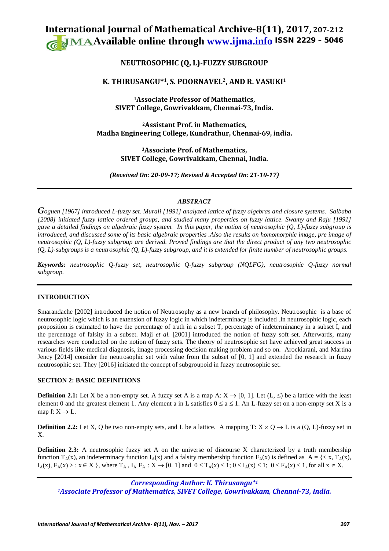# **International Journal of Mathematical Archive-8(11), 2017, 207-212 Available online through [www.ijma.info](http://www.ijma.info/)** ISSN 2229 – <sup>5046</sup>

# **NEUTROSOPHIC (Q, L)-FUZZY SUBGROUP**

# **K. THIRUSANGU\*1, S. POORNAVEL2, AND R. VASUKI1**

**1Associate Professor of Mathematics, SIVET College, Gowrivakkam, Chennai-73, India.**

**2Assistant Prof. in Mathematics, Madha Engineering College, Kundrathur, Chennai-69, india.**

> **3Associate Prof. of Mathematics, SIVET College, Gowrivakkam, Chennai, India.**

*(Received On: 20-09-17; Revised & Accepted On: 21-10-17)*

# *ABSTRACT*

*Goguen [1967] introduced L-fuzzy set. Murali [1991] analyzed lattice of fuzzy algebras and closure systems. Saibaba [2008] initiated fuzzy lattice ordered groups, and studied many properties on fuzzy lattice. Swamy and Raju [1991] gave a detailed findings on algebraic fuzzy system. In this paper, the notion of neutrosophic (Q, L)-fuzzy subgroup is introduced, and discussed some of its basic algebraic properties .Also the results on homomorphic image, pre image of neutrosophic (Q, L)-fuzzy subgroup are derived. Proved findings are that the direct product of any two neutrosophic (Q, L)-subgroups is a neutrosophic (Q, L)-fuzzy subgroup, and it is extended for finite number of neutrosophic groups.*

*Keywords: neutrosophic Q-fuzzy set, neutrosophic Q-fuzzy subgroup (NQLFG), neutrosophic Q-fuzzy normal subgroup.*

# **INTRODUCTION**

Smarandache [2002] introduced the notion of Neutrosophy as a new branch of philosophy. Neutrosophic is a base of neutrosophic logic which is an extension of fuzzy logic in which indeterminacy is included .In neutrosophic logic, each proposition is estimated to have the percentage of truth in a subset T, percentage of indeterminancy in a subset I, and the percentage of falsity in a subset. Maji *et al.* [2001] introduced the notion of fuzzy soft set. Afterwards, many researches were conducted on the notion of fuzzy sets. The theory of neutrosophic set have achieved great success in various fields like medical diagnosis, image processing decision making problem and so on. Arockiarani, and Martina Jency [2014] consider the neutrosophic set with value from the subset of [0, 1] and extended the research in fuzzy neutrosophic set. They [2016] initiated the concept of subgroupoid in fuzzy neutrosophic set.

# **SECTION 2: BASIC DEFINITIONS**

**Definition 2.1:** Let X be a non-empty set. A fuzzy set A is a map A:  $X \rightarrow [0, 1]$ . Let  $(L, \leq)$  be a lattice with the least element 0 and the greatest element 1. Any element a in L satisfies  $0 \le a \le 1$ . An L-fuzzy set on a non-empty set X is a map f:  $X \rightarrow L$ .

**Definition 2.2:** Let X, Q be two non-empty sets, and L be a lattice. A mapping T:  $X \times Q \rightarrow L$  is a  $(Q, L)$ -fuzzy set in X.

**Definition 2.3:** A neutrosophic fuzzy set A on the universe of discourse X characterized by a truth membership function  $T_A(x)$ , an indeterminacy function  $I_A(x)$  and a falsity membership function  $F_A(x)$  is defined as  $A = \{ \langle x, T_A(x), \rangle \}$  $I_A(x)$ ,  $F_A(x) > : x \in X$ , where  $T_A$ ,  $I_A$ ,  $F_A : X \to [0, 1]$  and  $0 \le T_A(x) \le 1$ ;  $0 \le I_A(x) \le 1$ ;  $0 \le F_A(x) \le 1$ , for all  $x \in X$ .

*Corresponding Author: K. Thirusangu\*1 1Associate Professor of Mathematics, SIVET College, Gowrivakkam, Chennai-73, India.*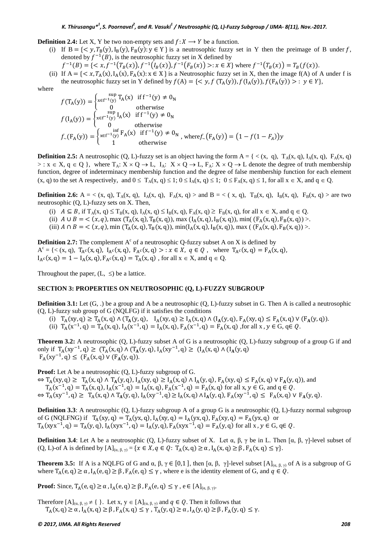#### *K. Thirusangu\*1 , S. Poornavel2 , and R. Vasuki1 / Neutrosophic (Q, L)-Fuzzy Subgroup / IJMA- 8(11), Nov.-2017.*

**Definition 2.4:** Let X, Y be two non-empty sets and  $f: X \rightarrow Y$  be a function.

- (i) If  $B = \{ \langle y, T_B(y), I_B(y), F_B(y) : y \in Y \}$  is a neutrosophic fuzzy set in Y then the preimage of B under f, denoted by  $f^{-1}(B)$ , is the neutrosophic fuzzy set in X defined by
	- $f^{-1}(B) = \{ \langle x, f^{-1}(T_B(x)), f^{-1}(I_B(x)), f^{-1}(F_B(x)) \rangle : x \in X \}$  where  $f^{-1}(T_B(x)) = T_B(f(x)).$
- (ii) If  $A = \{ \langle x, T_A(x), I_A(x), F_A(x) : x \in X \}$  is a Neutrosophic fuzzy set in X, then the image  $f(A)$  of A under f is the neutrosophic fuzzy set in Y defined by  $f(A) = \{ \langle y, f(T_A(y)), f(I_A(y)), f(F_A(y)) \rangle : y \in Y \}$ ,

where

$$
f(T_A(y)) = \begin{cases} \n\operatorname{sup}_{X \in f^{-1}(y)} T_A(x) & \text{if } f^{-1}(y) \neq 0_N \\
0 & \text{otherwise}\n\end{cases}
$$
\n
$$
f(I_A(y)) = \begin{cases} \n\operatorname{sup}_{X \in f^{-1}(y)} I_A(x) & \text{if } f^{-1}(y) \neq 0_N \\
0 & \text{otherwise}\n\end{cases}
$$
\n
$$
f_{\sim}(F_A(y)) = \begin{cases} \n\operatorname{inf}_{X \in f^{-1}(y)} F_A(x) & \text{if } f^{-1}(y) \neq 0_N \\
1 & \text{otherwise}\n\end{cases}, \text{ where } f_{\sim}(F_A(y)) = (1 - f(1 - F_A))y
$$

**Definition 2.5:** A neutrosophic (Q, L)-fuzzy set is an object having the form  $A = \{ \langle x, q \rangle, T_A(x, q), I_A(x, q), F_A(x, q) \rangle \}$ > :  $x \in X$ ,  $q \in Q$  }, where  $T_A$ :  $X \times Q \to L$ ,  $I_A$ :  $X \times Q \to L$ ,  $F_A$ :  $X \times Q \to L$  denote the degree of truth membership function, degree of indeterminacy membership function and the degree of false membership function for each element  $(x, q)$  to the set A respectively, and  $0 \leq T_A(x, q) \leq 1$ ;  $0 \leq I_A(x, q) \leq 1$ ;  $0 \leq F_A(x, q) \leq 1$ , for all  $x \in X$ , and  $q \in Q$ .

**Definition 2.6:**  $A = \langle (x, q), T_A(x, q), I_A(x, q), F_A(x, q) \rangle$  and  $B = \langle (x, q), T_B(x, q), I_B(x, q) \rangle$  F<sub>B</sub>(x, q)  $>$  are two neutrosophic (Q, L)-fuzzy sets on X. Then,

- (i)  $A \subseteq B$ , if  $T_A(x, q) \le T_B(x, q)$ ,  $I_A(x, q) \le I_B(x, q)$ ,  $F_A(x, q) \ge F_B(x, q)$ , for all  $x \in X$ , and  $q \in Q$ .
- (ii)  $A \cup B = \langle (x, q)$ , max  $(T_A(x, q), T_B(x, q))$ , max  $(I_A(x, q), I_B(x, q))$ , min(  $(F_A(x, q), F_B(x, q))$ ).
- (iii)  $A \cap B = \langle (x, q)$ , min  $(T_A(x, q), T_B(x, q))$ , min $(T_A(x, q), T_B(x, q))$ , max ( $(T_A(x, q), F_B(x, q))$ ).

**Definition 2.7:** The complement  $A<sup>c</sup>$  of a neutrosophic O-fuzzy subset A on X is defined by  $A<sup>c</sup> = {  $(x, q)$ ,  $T<sub>A</sub>c(x, q)$ ,  $I<sub>A</sub>c(x, q)$ ,  $F<sub>A</sub>c(x, q) > : x \in X$ ,  $q \in Q$ , where  $T<sub>A</sub>c(x, q) = F<sub>A</sub>(x, q)$ ,$  $I_A c(x, q) = 1 - I_A(x, q), F_A c(x, q) = T_A(x, q)$ , for all  $x \in X$ , and  $q \in Q$ .

Throughout the paper,  $(L, \leq)$  be a lattice.

#### **SECTION 3: PROPERTIES ON NEUTROSOPHIC (Q, L)-FUZZY SUBGROUP**

**Definition 3.1:** Let (G, .) be a group and A be a neutrosophic (Q, L)-fuzzy subset in G. Then A is called a neutrosophic (Q, L)-fuzzy sub group of G (NQLFG) if it satisfies the conditions

- (i)  $T_A(xy, q) \ge T_A(x, q) \wedge (T_A(y, q), I_A(xy, q) \ge I_A(x, q) \wedge (I_A(y, q), F_A(xy, q) \le F_A(x, q) \vee (F_A(y, q)).$
- (ii)  $T_A(x^{-1}, q) = T_A(x, q), I_A(x^{-1}, q) = I_A(x, q), F_A(x^{-1}, q) = F_A(x, q)$ , for all x,  $y \in G$ ,  $q \in Q$ .

**Theorem 3.2:** A neutrosophic (Q, L)-fuzzy subset A of G is a neutrosophic (Q, L)-fuzzy subgroup of a group G if and only if  $T_A(xy^{-1}, q) \ge (T_A(x, q) \land (T_A(y, q), I_A(xy^{-1}, q)) \ge (I_A(x, q) \land (I_A(y, q))$  $F_A(xy^{-1}, q) \leq (F_A(x, q) \vee (F_A(y, q)).$ 

**Proof:** Let A be a neutrosophic (Q, L)-fuzzy subgroup of G.

 $\Leftrightarrow T_A(xy,q) \geq T_A(x,q) \wedge T_A(y,q)$ ,  $I_A(xy,q) \geq I_A(x,q) \wedge I_A(y,q)$ ,  $F_A(xy,q) \leq F_A(x,q) \vee F_A(y,q)$ , and  $T_A(x^{-1}, q) = T_A(x, q), I_A(x^{-1}, q) = I_A(x, q), F_A(x^{-1}, q) = F_A(x, q)$  for all  $x, y \in G$ , and  $q \in Q$ .  $\Leftrightarrow T_A(xy^{-1}, q) \geq T_A(x, q) \land T_A(y, q), I_A(xy^{-1}, q) \geq I_A(x, q) \land I_A(y, q), F_A(xy^{-1}, q) \leq F_A(x, q) \lor F_A(y, q).$ 

**Definition 3.3**: A neutrosophic (Q, L)-fuzzy subgroup A of a group G is a neutrosophic (Q, L)-fuzzy normal subgroup of G (NQLFNG) if  $T_A(xy, q) = T_A(yx, q)$ ,  $I_A(xy, q) = I_A(yx, q)$ ,  $F_A(xy, q) = F_A(yx, q)$  or  $T_A(xyx^{-1}, q) = T_A(y, q), I_A(xyx^{-1}, q) = I_A(y, q), F_A(xyx^{-1}, q) = F_A(y, q)$  for all x,  $y \in G$ ,  $q \in Q$ .

**Definition 3.4**: Let A be a neutrosophic  $(Q, L)$ -fuzzy subset of X. Let  $\alpha$ ,  $\beta$ ,  $\gamma$  be in L. Then  $[\alpha, \beta, \gamma]$ -level subset of  $(Q, L)$ -of A is defined by  $[A]_{(a, \beta, \gamma)} = \{x \in X, q \in Q: T_A(x, q) \ge \alpha, I_A(x, q) \ge \beta, F_A(x, q) \le \gamma\}.$ 

**Theorem 3.5:** If A is a NQLFG of G and  $\alpha$ ,  $\beta$ ,  $\gamma \in [0,1]$ , then  $[\alpha, \beta, \gamma]$ -level subset  $[A]_{(\alpha, \beta, \gamma)}$  of A is a subgroup of G where  $T_A(e, q) \ge \alpha$ ,  $I_A(e, q) \ge \beta$ ,  $F_A(e, q) \le \gamma$ , where e is the identity element of G, and  $q \in Q$ .

**Proof:** Since,  $T_A(e, q) \ge \alpha$ ,  $I_A(e, q) \ge \beta$ ,  $F_A(e, q) \le \gamma$ ,  $e \in [A]_{(q, \beta, \gamma)}$ .

Therefore  $[A]_{(\alpha, \beta, \gamma)} \neq \{\}\$ . Let x,  $y \in [A]_{(\alpha, \beta, \gamma)}$  and  $q \in Q$ . Then it follows that  $T_A(x, q) \ge \alpha$ ,  $I_A(x, q) \ge \beta$ ,  $F_A(x, q) \le \gamma$ ,  $T_A(y, q) \ge \alpha$ ,  $I_A(y, q) \ge \beta$ ,  $F_A(y, q) \le \gamma$ .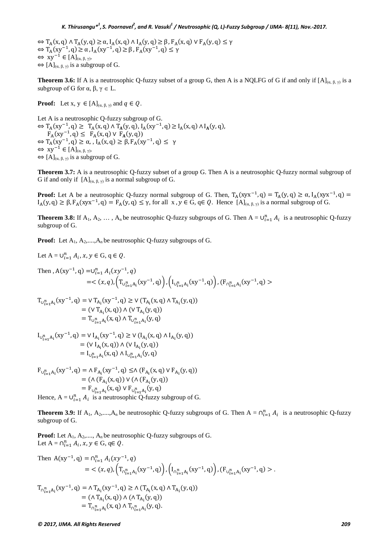$\Leftrightarrow T_A(x,q) \wedge T_A(y,q) \geq \alpha$ ,  $I_A(x,q) \wedge I_A(y,q) \geq \beta$ ,  $F_A(x,q) \vee F_A(y,q) \leq \gamma$  $\Leftrightarrow T_A(xy^{-1}, q) \ge \alpha$ ,  $I_A(xy^{-1}, q) \ge \beta$ ,  $F_A(xy^{-1}, q) \le \gamma$  $\Leftrightarrow xy^{-1} \in [A]_{(\alpha, \beta, \gamma)}$ .  $\Leftrightarrow$   $[A]_{(\alpha, \beta, \gamma)}$  is a subgroup of G.

**Theorem 3.6:** If A is a neutrosophic Q-fuzzy subset of a group G, then A is a NQLFG of G if and only if  $[A]_{(\alpha,\beta,\gamma)}$  is a subgroup of G for  $\alpha$ ,  $\beta$ ,  $\gamma \in L$ .

**Proof:** Let x,  $y \in [A]_{(\alpha, \beta, \gamma)}$  and  $q \in Q$ .

Let A is a neutrosophic Q-fuzzy subgroup of G.  $\Leftrightarrow$  T<sub>A</sub>(xy<sup>-1</sup>, q)  $\geq$  T<sub>A</sub>(x, q)  $\wedge$  T<sub>A</sub>(y, q), I<sub>A</sub>(xy<sup>-1</sup>, q)  $\geq$  I<sub>A</sub>(x, q)  $\wedge$  I<sub>A</sub>(y, q),  $F_A(xy^{-1}, q) \leq F_A(x, q) \vee F_A(y, q)$  $\Leftrightarrow$  T<sub>A</sub>(xy<sup>-1</sup>, q) ≥ α, , I<sub>A</sub>(x, q) ≥ β, F<sub>A</sub>(xy<sup>-1</sup>, q) ≤ γ  $\Leftrightarrow xy^{-1} \in [A]_{(\alpha, \beta, \gamma)}$ .  $\Leftrightarrow$   $[A]_{(\alpha, \beta, \gamma)}$  is a subgroup of G.

**Theorem 3.7:** A is a neutrosophic Q-fuzzy subset of a group G. Then A is a neutrosophic Q-fuzzy normal subgroup of G if and only if  $[A]_{(a, b, \gamma)}$  is a normal subgroup of G.

**Proof:** Let A be a neutrosophic Q-fuzzy normal subgroup of G. Then,  $T_A(xyx^{-1}, q) = T_A(y, q) \ge \alpha$ ,  $I_A(xyx^{-1}, q) =$  $I_A(y, q) \ge \beta$ ,  $F_A(xyx^{-1}, q) = F_A(y, q) \le \gamma$ , for all  $x, y \in G$ ,  $q \in Q$ . Hence  $[A]_{(\alpha, \beta, \gamma)}$  is a normal subgroup of G.

**Theorem 3.8:** If  $A_1, A_2, \ldots, A_n$  be neutrosophic Q-fuzzy subgroups of G. Then  $A = \bigcup_{i=1}^n A_i$  is a neutrosophic Q-fuzzy subgroup of G.

**Proof:** Let  $A_1, A_2, \ldots, A_n$  be neutrosophic O-fuzzy subgroups of G.

Let 
$$
A = \bigcup_{i=1}^{n} A_i, x, y \in G, q \in Q
$$
.

Then, 
$$
A(xy^{-1}, q) = \bigcup_{i=1}^{n} A_i(xy^{-1}, q)
$$
  
= $\langle (x, q), (T_{\bigcup_{i=1}^{n} A_i}(xy^{-1}, q)) \rangle, (I_{\bigcup_{i=1}^{n} A_i}(xy^{-1}, q)) \rangle, (F_{\bigcap_{i=1}^{n} A_i}(xy^{-1}, q)) >$ 

$$
T_{U_{i=1}^{n}A_{i}}(xy^{-1},q) = V T_{A_{i}}(xy^{-1},q) \ge V (T_{A_{i}}(x,q) \wedge T_{A_{i}}(y,q))
$$
  
= (V T<sub>A\_{i}}(x,q)) \wedge (V T\_{A\_{i}}(y,q))  
= T\_{U\_{i=1}^{n}A\_{i}}(x,q) \wedge T\_{U\_{i=1}^{n}A\_{i}}(y,q)</sub>

$$
I_{U_{i=1}^{n}A_{i}}(xy^{-1}, q) = V I_{A_{i}}(xy^{-1}, q) \ge V (I_{A_{i}}(x, q) \wedge I_{A_{i}}(y, q))
$$
  
= (V I<sub>A\_{i}}(x, q)) \wedge (V I<sub>A\_{i}}(y, q))  
= I\_{U\_{i=1}^{n}A\_{i}}(x, q) \wedge I\_{U\_{i=1}^{n}A\_{i}}(y, q)</sub></sub>

$$
F_{U_{i=1}^{n}A_{i}}(xy^{-1}, q) = \Lambda F_{A_{i}}(xy^{-1}, q) \le \Lambda (F_{A_{i}}(x, q) \vee F_{A_{i}}(y, q))
$$
  
= (\Lambda (F\_{A\_{i}}(x, q)) \vee (\Lambda (F\_{A\_{i}}(y, q))  
= F\_{U\_{i=1}^{n}A\_{i}}(x, q) \vee F\_{U\_{i=1}^{n}A\_{i}}(y, q)  
Hence, A = U\_{i=1}^{n} A\_{i} \text{ is a neutrosophic Q-fuzzy subgroup of G.

**Theorem 3.9:** If  $A_1, A_2, ..., A_n$  be neutrosophic Q-fuzzy subgroups of G. Then  $A = \bigcap_{i=1}^n A_i$  is a neutrosophic Q-fuzzy subgroup of G.

**Proof:** Let  $A_1$ ,  $A_2$ ,....,  $A_n$  be neutrosophic Q-fuzzy subgroups of G. Let  $A = \bigcap_{i=1}^{n} A_i$ ,  $x, y \in G$ ,  $q \in Q$ .

Then 
$$
A(xy^{-1}, q) = \bigcap_{i=1}^{n} A_i(xy^{-1}, q)
$$
  
\n
$$
= \langle (x, q), (T_{\bigcap_{i=1}^{n} A_i}(xy^{-1}, q)), (I_{\bigcap_{i=1}^{n} A_i}(xy^{-1}, q)), (F_{\bigcup_{i=1}^{n} A_i}(xy^{-1}, q) > .
$$
\n
$$
T_{\bigcap_{i=1}^{n} A_i}(xy^{-1}, q) = \bigwedge T_{A_i}(xy^{-1}, q) \ge \bigwedge (T_{A_i}(x, q) \bigwedge T_{A_i}(y, q))
$$
\n
$$
= (\bigwedge T_{A_i}(x, q)) \bigwedge (\bigwedge T_{A_i}(y, q))
$$
\n
$$
= T_{\bigcap_{i=1}^{n} A_i}(x, q) \bigwedge T_{\bigcap_{i=1}^{n} A_i}(y, q).
$$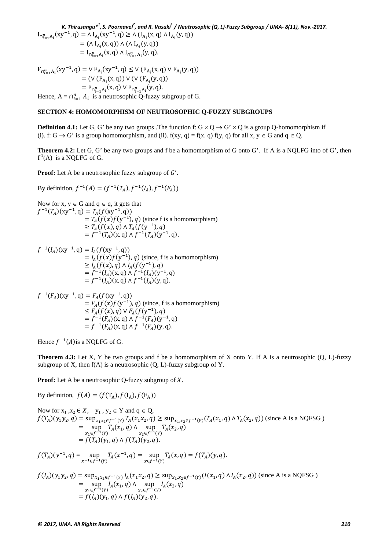*K. Thirusangu\*1 , S. Poornavel2 , and R. Vasuki1 / Neutrosophic (Q, L)-Fuzzy Subgroup / IJMA- 8(11), Nov.-2017.*

 $I_{\bigcap_{i=1}^{n} A_i}(xy^{-1}, q) = \Lambda I_{A_i}(xy^{-1}, q) \ge \Lambda (I_{A_i}(x, q) \Lambda I_{A_i}(y, q))$  $= (\Lambda I_{A_i}(x, q)) \wedge (\Lambda I_{A_i}(y, q))$  $= I_{\bigcap_{i=1}^{n} A_i}(x, q) \bigwedge I_{\bigcap_{i=1}^{n} A_i}(y, q).$ 

 $F_{\bigcap_{i=1}^{n} A_i}(xy^{-1}, q) = \vee F_{A_i}(xy^{-1}, q) \le \vee (F_{A_i}(x, q) \vee F_{A_i}(y, q))$  $= (V (F_{A_i}(x, q)) V (V (F_{A_i}(y, q)))$  $=$   $F_{\cap_{i=1}^{n} A_i}(x, q) \vee F_{\cap_{i=1}^{n} A_i}(y, q)$ . Hence,  $A = \bigcap_{i=1}^n A_i$  is a neutrosophic Q-fuzzy subgroup of G.

### **SECTION 4: HOMOMORPHISM OF NEUTROSOPHIC Q-FUZZY SUBGROUPS**

**Definition 4.1:** Let G, G' be any two groups .The function f:  $G \times Q \rightarrow G' \times Q$  is a group Q-homomorphism if (i). f:  $G \rightarrow G'$  is a group homomorphism, and (ii). f(xy, q) = f(x, q) f(y, q) for all x,  $y \in G$  and  $q \in Q$ .

**Theorem 4.2:** Let G, G' be any two groups and f be a homomorphism of G onto G'. If A is a NQLFG into of G', then  $f<sup>1</sup>(A)$  is a NQLFG of G.

**Proof:** Let A be a neutrosophic fuzzy subgroup of  $G'$ .

By definition,  $f^{-1}(A) = (f^{-1}(T_A), f^{-1}(I_A), f^{-1}(F_A))$ 

Now for x, y ∈ G and q ∈ q, it gets that  
\n
$$
f^{-1}(T_A)(xy^{-1}, q) = T_A(f(xy^{-1}, q))
$$
  
\n $= T_A(f(x)f(y^{-1}), q)$  (since f is a homomorphism)  
\n $\ge T_A(f(x), q) \land T_A(f(y^{-1}), q)$   
\n $= f^{-1}(T_A)(x, q) \land f^{-1}(T_A)(y^{-1}, q).$ 

 $f^{-1}(I_A)(xy^{-1}, q) = I_A(f(xy^{-1}, q))$  $= I_A(f(x)f(y^{-1}), q)$  (since, f is a homomorphism)  $\geq I_A(f(x), q) \wedge I_A(f(y^{-1}), q)$  $= f^{-1}(I_A)(x, q) \wedge f^{-1}(I_A)(y^{-1}, q)$  $= f^{-1}(I_A)(x, q) \wedge f^{-1}(I_A)(y, q).$ 

$$
f^{-1}(F_A)(xy^{-1}, q) = F_A(f(xy^{-1}, q))
$$
  
=  $F_A(f(x)f(y^{-1}), q)$  (since, f is a homomorphism)  
 $\leq F_A(f(x), q) \vee F_A(f(y^{-1}), q)$   
=  $f^{-1}(F_A)(x, q) \wedge f^{-1}(F_A)(y^{-1}, q)$   
=  $f^{-1}(F_A)(x, q) \wedge f^{-1}(F_A)(y, q)$ .

Hence  $f^{-1}(A)$  is a NOLFG of G.

**Theorem 4.3:** Let X, Y be two groups and f be a homomorphism of X onto Y. If A is a neutrosophic (Q, L)-fuzzy subgroup of X, then  $f(A)$  is a neutrosophic  $(Q, L)$ -fuzzy subgroup of Y.

**Proof:** Let A be a neutrosophic Q-fuzzy subgroup of *X*.

By definition,  $f(A) = (f(T_A), f(I_A), f(F_A))$ 

Now for  $x_1, x_2 \in X$ ,  $y_1, y_2 \in Y$  and  $q \in Q$ ,  $f(T_A)(y_1y_2, q) = \sup_{x_1x_2 \in f^{-1}(Y)} T_A(x_1x_2, q) \geq \sup_{x_1, x_2 \in f^{-1}(Y)} (T_A(x_1, q) \wedge T_A(x_2, q))$  (since A is a NQFSG)  $=$  sup  $\sup_{x_1 \in f^{-1}(Y)} T_A(x_1, q) \wedge \sup_{x_2 \in f^{-1}(Y)} T_A(x_2, q)$  $= f(T_A)(y_1, q) \wedge f(T_A)(y_2, q).$  $f(T_A)(y^{-1}, q) = \sup_{x^{-1} \in f^{-1}(Y)} T_A(x^{-1}, q) = \sup_{x \in f^{-1}(Y)} T_A(x, q) = f(T_A)(y, q).$ 

$$
f(I_A)(y_1y_2, q) = \sup_{x_1x_2 \in f^{-1}(Y)} I_A(x_1x_2, q) \ge \sup_{x_1, x_2 \in f^{-1}(Y)} (I(x_1, q) \land I_A(x_2, q)) \text{ (since A is a NQFSG)}
$$
  
= 
$$
\sup_{x_1 \in f^{-1}(Y)} I_A(x_1, q) \land \sup_{x_2 \in f^{-1}(Y)} I_A(x_2, q)
$$
  
= 
$$
f(I_A)(y_1, q) \land f(I_A)(y_2, q).
$$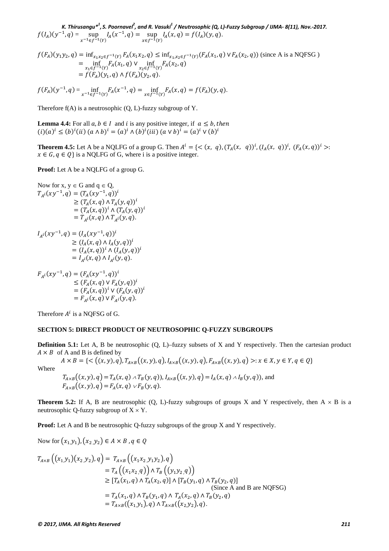*K. Thirusangu\*1 , S. Poornavel2 , and R. Vasuki1 / Neutrosophic (Q, L)-Fuzzy Subgroup / IJMA- 8(11), Nov.-2017.*  $f(I_A)(y^{-1}, q) = \sup_{x^{-1} \in f^{-1}(Y)} I_A(x^{-1}, q) = \sup_{x \in f^{-1}(Y)} I_A(x, q) = f(I_A)(y, q).$ 

$$
f(F_A)(y_1y_2, q) = \inf_{x_1x_2 \in f^{-1}(Y)} F_A(x_1x_2, q) \le \inf_{x_1, x_2 \in f^{-1}(Y)} (F_A(x_1, q) \vee F_A(x_2, q))
$$
 (since A is a NQFSG)  
\n
$$
= \inf_{x_1 \in f^{-1}(Y)} F_A(x_1, q) \vee \inf_{x_2 \in f^{-1}(Y)} F_A(x_2, q)
$$
  
\n
$$
= f(F_A)(y_1, q) \wedge f(F_A)(y_2, q).
$$

$$
f(F_A)(y^{-1}, q) = \inf_{x^{-1} \in f^{-1}(Y)} F_A(x^{-1}, q) = \inf_{x \in f^{-1}(Y)} F_A(x, q) = f(F_A)(y, q).
$$

Therefore  $f(A)$  is a neutrosophic  $(Q, L)$ -fuzzy subgroup of Y.

**Lemma 4.4:** For all  $a, b \in I$  and  $i$  is any positive integer, if  $a \leq b$ , then  $(i)(a)^{i} \leq (b)^{i}(ii)$   $(a \wedge b)^{i} = (a)^{i} \wedge (b)^{i}(iii)$   $(a \vee b)^{i} = (a)^{i} \vee (b)^{i}$ 

**Theorem 4.5:** Let A be a NQLFG of a group G. Then  $A^l = \{ \langle (x, q), (T_A(x, q))^l, (I_A(x, q))^l, (F_A(x, q))^l \rangle \}$ :  $x \in G, q \in Q$  is a NQLFG of G, where i is a positive integer.

**Proof:** Let A be a NQLFG of a group G.

Now for x, y ∈ G and q ∈ Q,  
\n
$$
T_{A^{i}}(xy^{-1}, q) = (T_{A}(xy^{-1}, q))^{i}
$$
\n
$$
\geq (T_{A}(x, q) \land T_{A}(y, q))^{i}
$$
\n
$$
= (T_{A}(x, q))^{i} \land (T_{A}(y, q))^{i}
$$
\n
$$
= T_{A^{i}}(x, q) \land T_{A^{i}}(y, q).
$$
\n
$$
I_{A^{i}}(xy^{-1}, q) = (I_{A}(xy^{-1}, q))^{i}
$$
\n
$$
\geq (I_{A}(x, q) \land I_{A}(y, q))^{i}
$$
\n
$$
= (I_{A}(x, q))^{i} \land (I_{A}(y, q))^{i}
$$
\n
$$
= I_{A^{i}}(x, q) \land I_{A^{i}}(y, q).
$$
\n
$$
F_{A^{i}}(xy^{-1}, q) = (F_{A}(xy^{-1}, q))^{i}
$$
\n
$$
\leq (F_{A}(x, q) \lor F_{A}(y, q))^{i}
$$
\n
$$
= (F_{A}(x, q))^{i} \lor (F_{A}(y, q))^{i}
$$
\n
$$
= F_{A^{i}}(x, q) \lor F_{A}(y, q).
$$

Therefore  $A^i$  is a NQFSG of G.

#### **SECTION 5: DIRECT PRODUCT OF NEUTROSOPHIC Q-FUZZY SUBGROUPS**

**Definition 5.1:** Let A, B be neutrosophic (Q, L)–fuzzy subsets of X and Y respectively. Then the cartesian product  $A \times B$  of A and B is defined by  $A \times B = \{ \leq ((x, y), q), T_{A \times B}((x, y), q), I_{A \times B}((x, y), q), F_{A \times B}((x, y), q) >: x \in X, y \in Y, q \in Q \}$ 

Where

$$
T_{A \times B}((x, y), q) = T_A(x, q) \wedge T_B(y, q)), I_{A \times B}((x, y), q) = I_A(x, q) \wedge I_B(y, q)),
$$
 and  

$$
F_{A \times B}((x, y), q) = F_A(x, q) \vee F_B(y, q).
$$

**Theorem 5.2:** If A, B are neutrosophic  $(Q, L)$ -fuzzy subgroups of groups X and Y respectively, then  $A \times B$  is a neutrosophic Q-fuzzy subgroup of  $X \times Y$ .

**Proof:** Let A and B be neutrosophic Q-fuzzy subgroups of the group X and Y respectively.

Now for 
$$
(x_1,y_1)
$$
,  $(x_2,y_2) \in A \times B$ ,  $q \in Q$   
\n
$$
T_{A \times B} ((x_1,y_1)(x_2,y_2), q) = T_{A \times B} ((x_1x_2,y_1y_2), q)
$$
\n
$$
= T_A ((x_1x_2,q)) \wedge T_B ((y_1y_2,q))
$$
\n
$$
\geq [T_A(x_1,q) \wedge T_A(x_2,q)] \wedge [T_B(y_1,q) \wedge T_B(y_2,q)]
$$
\n(Since A and B are NQFSG)  
\n
$$
= T_A(x_1,q) \wedge T_B(y_1,q) \wedge T_A(x_2,q) \wedge T_B(y_2,q)
$$
\n
$$
= T_{A \times B} ((x_1,y_1), q) \wedge T_{A \times B} ((x_2,y_2), q).
$$